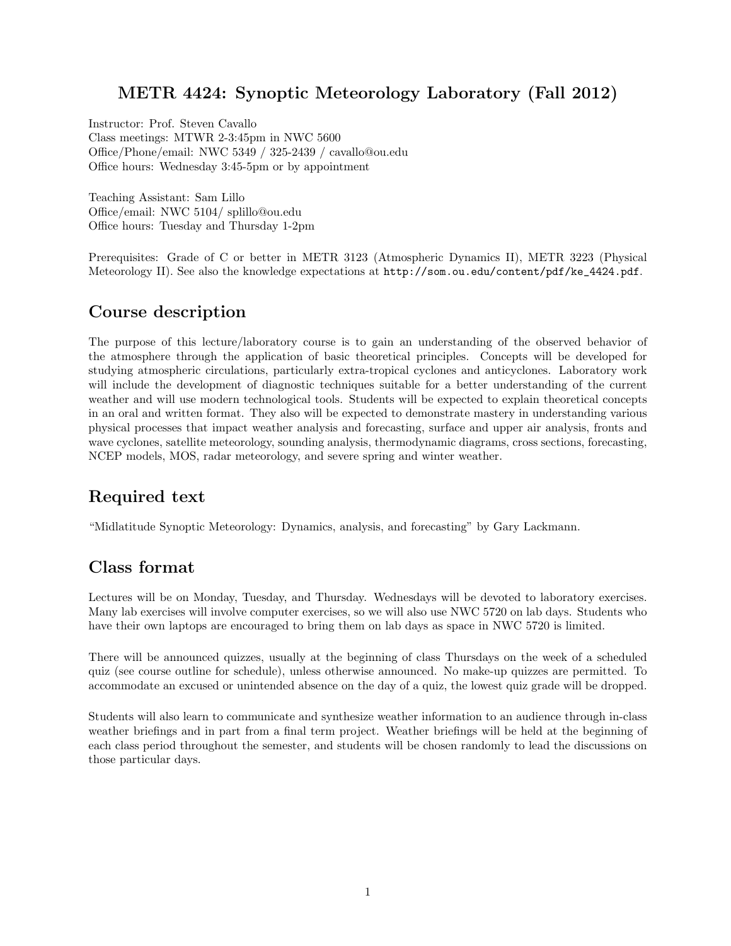## METR 4424: Synoptic Meteorology Laboratory (Fall 2012)

Instructor: Prof. Steven Cavallo Class meetings: MTWR 2-3:45pm in NWC 5600 Office/Phone/email: NWC 5349 / 325-2439 / cavallo@ou.edu Office hours: Wednesday 3:45-5pm or by appointment

Teaching Assistant: Sam Lillo Office/email: NWC 5104/ splillo@ou.edu Office hours: Tuesday and Thursday 1-2pm

Prerequisites: Grade of C or better in METR 3123 (Atmospheric Dynamics II), METR 3223 (Physical Meteorology II). See also the knowledge expectations at [http://som.ou.edu/content/pdf/ke\\_4424.pdf](http://som.ou.edu/content/pdf/ke_4424.pdf).

## Course description

The purpose of this lecture/laboratory course is to gain an understanding of the observed behavior of the atmosphere through the application of basic theoretical principles. Concepts will be developed for studying atmospheric circulations, particularly extra-tropical cyclones and anticyclones. Laboratory work will include the development of diagnostic techniques suitable for a better understanding of the current weather and will use modern technological tools. Students will be expected to explain theoretical concepts in an oral and written format. They also will be expected to demonstrate mastery in understanding various physical processes that impact weather analysis and forecasting, surface and upper air analysis, fronts and wave cyclones, satellite meteorology, sounding analysis, thermodynamic diagrams, cross sections, forecasting, NCEP models, MOS, radar meteorology, and severe spring and winter weather.

# Required text

"Midlatitude Synoptic Meteorology: Dynamics, analysis, and forecasting" by Gary Lackmann.

## Class format

Lectures will be on Monday, Tuesday, and Thursday. Wednesdays will be devoted to laboratory exercises. Many lab exercises will involve computer exercises, so we will also use NWC 5720 on lab days. Students who have their own laptops are encouraged to bring them on lab days as space in NWC 5720 is limited.

There will be announced quizzes, usually at the beginning of class Thursdays on the week of a scheduled quiz (see course outline for schedule), unless otherwise announced. No make-up quizzes are permitted. To accommodate an excused or unintended absence on the day of a quiz, the lowest quiz grade will be dropped.

Students will also learn to communicate and synthesize weather information to an audience through in-class weather briefings and in part from a final term project. Weather briefings will be held at the beginning of each class period throughout the semester, and students will be chosen randomly to lead the discussions on those particular days.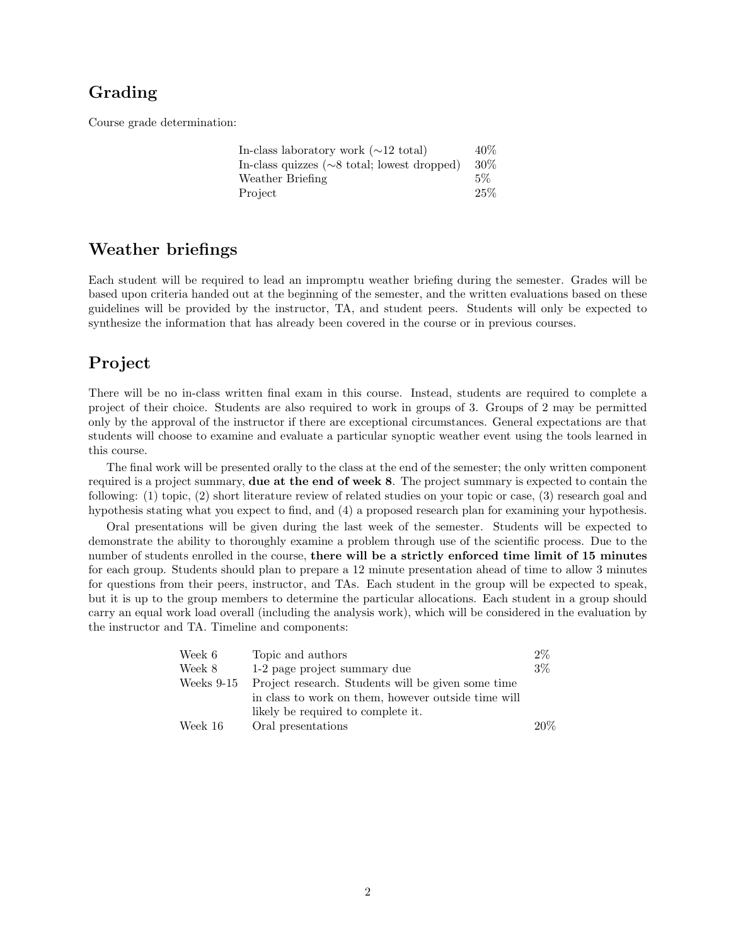#### Grading

Course grade determination:

| In-class laboratory work $(\sim 12 \text{ total})$               | 40%    |
|------------------------------------------------------------------|--------|
| In-class quizzes $(\sim 8 \text{ total}; \text{lowest dropped})$ | $30\%$ |
| Weather Briefing                                                 | $5\%$  |
| Project                                                          | 25%    |

#### Weather briefings

Each student will be required to lead an impromptu weather briefing during the semester. Grades will be based upon criteria handed out at the beginning of the semester, and the written evaluations based on these guidelines will be provided by the instructor, TA, and student peers. Students will only be expected to synthesize the information that has already been covered in the course or in previous courses.

#### Project

There will be no in-class written final exam in this course. Instead, students are required to complete a project of their choice. Students are also required to work in groups of 3. Groups of 2 may be permitted only by the approval of the instructor if there are exceptional circumstances. General expectations are that students will choose to examine and evaluate a particular synoptic weather event using the tools learned in this course.

The final work will be presented orally to the class at the end of the semester; the only written component required is a project summary, due at the end of week 8. The project summary is expected to contain the following: (1) topic, (2) short literature review of related studies on your topic or case, (3) research goal and hypothesis stating what you expect to find, and (4) a proposed research plan for examining your hypothesis.

Oral presentations will be given during the last week of the semester. Students will be expected to demonstrate the ability to thoroughly examine a problem through use of the scientific process. Due to the number of students enrolled in the course, there will be a strictly enforced time limit of 15 minutes for each group. Students should plan to prepare a 12 minute presentation ahead of time to allow 3 minutes for questions from their peers, instructor, and TAs. Each student in the group will be expected to speak, but it is up to the group members to determine the particular allocations. Each student in a group should carry an equal work load overall (including the analysis work), which will be considered in the evaluation by the instructor and TA. Timeline and components:

| Week 6       | Topic and authors                                   | $2\%$ |
|--------------|-----------------------------------------------------|-------|
| Week 8       | 1-2 page project summary due                        | $3\%$ |
| Weeks $9-15$ | Project research. Students will be given some time  |       |
|              | in class to work on them, however outside time will |       |
|              | likely be required to complete it.                  |       |
| Week 16      | Oral presentations                                  | 20%   |